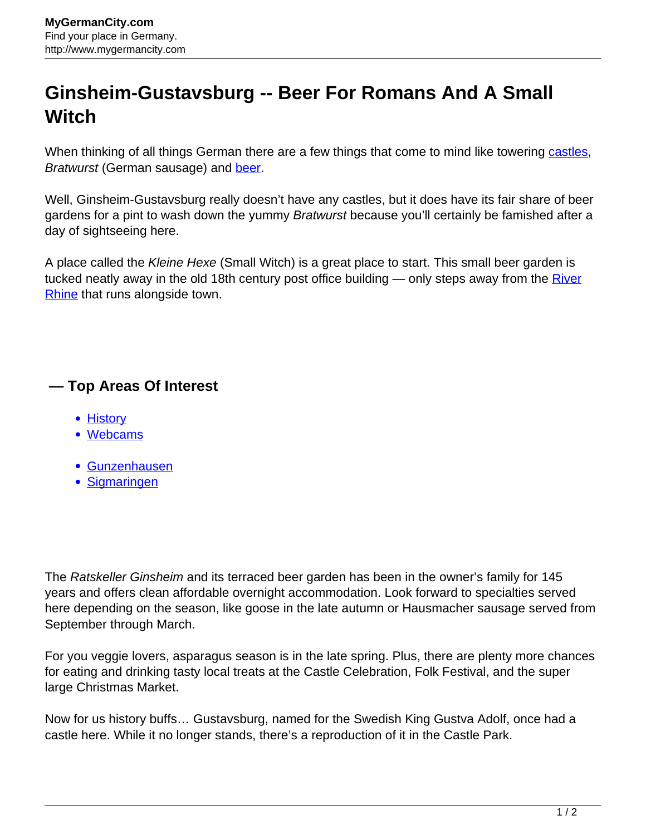## **Ginsheim-Gustavsburg -- Beer For Romans And A Small Witch**

When thinking of all things German there are a few things that come to mind like towering [castles](http://www.mygermancity.com/german-castles), Bratwurst (German sausage) and [beer](http://www.mygermancity.com/german-beer).

Well, Ginsheim-Gustavsburg really doesn't have any castles, but it does have its fair share of beer gardens for a pint to wash down the yummy Bratwurst because you'll certainly be famished after a day of sightseeing here.

A place called the *Kleine Hexe* (Small Witch) is a great place to start. This small beer garden is tucked neatly away in the old 18th century post office building  $-$  only steps away from the  $River$ [Rhine](http://www.mygermancity.com/rhine) that runs alongside town.

## **— Top Areas Of Interest**

- **[History](http://www.mygermancity.com/leipzig-history)**
- [Webcams](http://www.mygermancity.com/neustadt-holstein-webcams)
- [Gunzenhausen](http://www.mygermancity.com/gunzenhausen)
- [Sigmaringen](http://www.mygermancity.com/sigmaringen)

The Ratskeller Ginsheim and its terraced beer garden has been in the owner's family for 145 years and offers clean affordable overnight accommodation. Look forward to specialties served here depending on the season, like goose in the late autumn or Hausmacher sausage served from September through March.

For you veggie lovers, asparagus season is in the late spring. Plus, there are plenty more chances for eating and drinking tasty local treats at the Castle Celebration, Folk Festival, and the super large Christmas Market.

Now for us history buffs… Gustavsburg, named for the Swedish King Gustva Adolf, once had a castle here. While it no longer stands, there's a reproduction of it in the Castle Park.